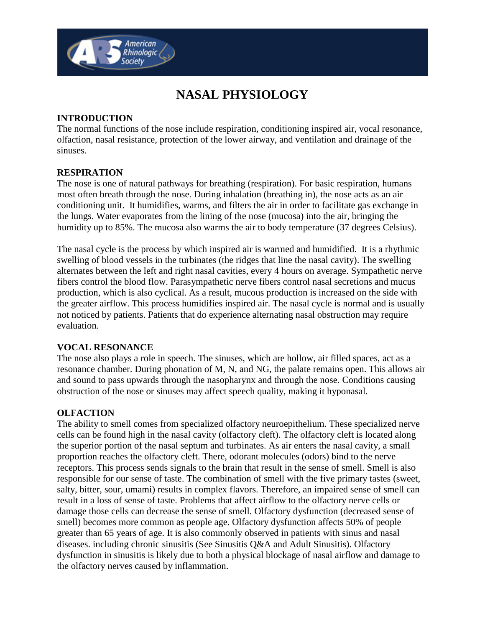

# **NASAL PHYSIOLOGY**

### **INTRODUCTION**

The normal functions of the nose include respiration, conditioning inspired air, vocal resonance, olfaction, nasal resistance, protection of the lower airway, and ventilation and drainage of the sinuses.

#### **RESPIRATION**

The nose is one of natural pathways for breathing (respiration). For basic respiration, humans most often breath through the nose. During inhalation (breathing in), the nose acts as an air conditioning unit. It humidifies, warms, and filters the air in order to facilitate gas exchange in the lungs. Water evaporates from the lining of the nose (mucosa) into the air, bringing the humidity up to 85%. The mucosa also warms the air to body temperature (37 degrees Celsius).

The nasal cycle is the process by which inspired air is warmed and humidified. It is a rhythmic swelling of blood vessels in the turbinates (the ridges that line the nasal cavity). The swelling alternates between the left and right nasal cavities, every 4 hours on average. Sympathetic nerve fibers control the blood flow. Parasympathetic nerve fibers control nasal secretions and mucus production, which is also cyclical. As a result, mucous production is increased on the side with the greater airflow. This process humidifies inspired air. The nasal cycle is normal and is usually not noticed by patients. Patients that do experience alternating nasal obstruction may require evaluation.

#### **VOCAL RESONANCE**

The nose also plays a role in speech. The sinuses, which are hollow, air filled spaces, act as a resonance chamber. During phonation of M, N, and NG, the palate remains open. This allows air and sound to pass upwards through the nasopharynx and through the nose. Conditions causing obstruction of the nose or sinuses may affect speech quality, making it hyponasal.

#### **OLFACTION**

The ability to smell comes from specialized olfactory neuroepithelium. These specialized nerve cells can be found high in the nasal cavity (olfactory cleft). The olfactory cleft is located along the superior portion of the nasal septum and turbinates. As air enters the nasal cavity, a small proportion reaches the olfactory cleft. There, odorant molecules (odors) bind to the nerve receptors. This process sends signals to the brain that result in the sense of smell. Smell is also responsible for our sense of taste. The combination of smell with the five primary tastes (sweet, salty, bitter, sour, umami) results in complex flavors. Therefore, an impaired sense of smell can result in a loss of sense of taste. Problems that affect airflow to the olfactory nerve cells or damage those cells can decrease the sense of smell. Olfactory dysfunction (decreased sense of smell) becomes more common as people age. Olfactory dysfunction affects 50% of people greater than 65 years of age. It is also commonly observed in patients with sinus and nasal diseases. including chronic sinusitis (See Sinusitis Q&A and Adult Sinusitis). Olfactory dysfunction in sinusitis is likely due to both a physical blockage of nasal airflow and damage to the olfactory nerves caused by inflammation.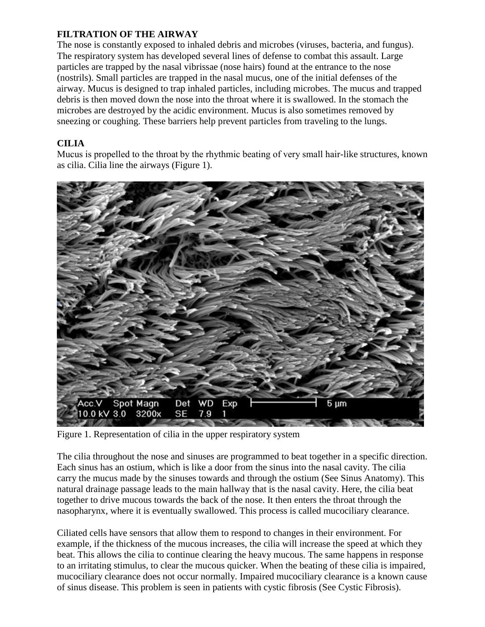#### **FILTRATION OF THE AIRWAY**

The nose is constantly exposed to inhaled debris and microbes (viruses, bacteria, and fungus). The respiratory system has developed several lines of defense to combat this assault. Large particles are trapped by the nasal vibrissae (nose hairs) found at the entrance to the nose (nostrils). Small particles are trapped in the nasal mucus, one of the initial defenses of the airway. Mucus is designed to trap inhaled particles, including microbes. The mucus and trapped debris is then moved down the nose into the throat where it is swallowed. In the stomach the microbes are destroyed by the acidic environment. Mucus is also sometimes removed by sneezing or coughing. These barriers help prevent particles from traveling to the lungs.

## **CILIA**

Mucus is propelled to the throat by the rhythmic beating of very small hair-like structures, known as cilia. Cilia line the airways (Figure 1).



Figure 1. Representation of cilia in the upper respiratory system

The cilia throughout the nose and sinuses are programmed to beat together in a specific direction. Each sinus has an ostium, which is like a door from the sinus into the nasal cavity. The cilia carry the mucus made by the sinuses towards and through the ostium (See Sinus Anatomy). This natural drainage passage leads to the main hallway that is the nasal cavity. Here, the cilia beat together to drive mucous towards the back of the nose. It then enters the throat through the nasopharynx, where it is eventually swallowed. This process is called mucociliary clearance.

Ciliated cells have sensors that allow them to respond to changes in their environment. For example, if the thickness of the mucous increases, the cilia will increase the speed at which they beat. This allows the cilia to continue clearing the heavy mucous. The same happens in response to an irritating stimulus, to clear the mucous quicker. When the beating of these cilia is impaired, mucociliary clearance does not occur normally. Impaired mucociliary clearance is a known cause of sinus disease. This problem is seen in patients with cystic fibrosis (See Cystic Fibrosis).